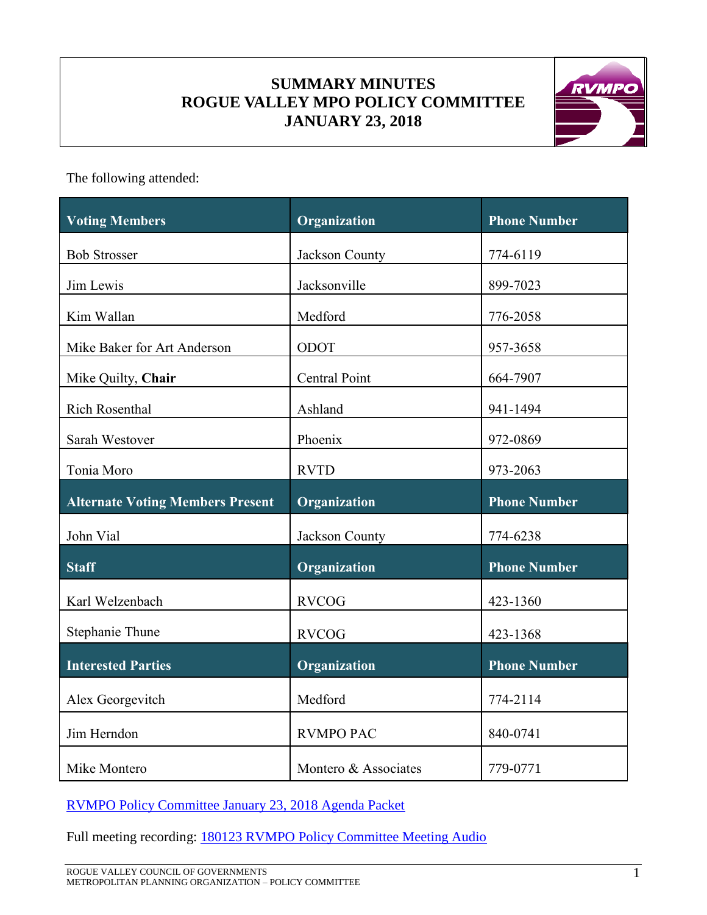# **SUMMARY MINUTES ROGUE VALLEY MPO POLICY COMMITTEE JANUARY 23, 2018**



The following attended:

| <b>Voting Members</b>                   | Organization         | <b>Phone Number</b> |
|-----------------------------------------|----------------------|---------------------|
| <b>Bob Strosser</b>                     | Jackson County       | 774-6119            |
| Jim Lewis                               | Jacksonville         | 899-7023            |
| Kim Wallan                              | Medford              | 776-2058            |
| Mike Baker for Art Anderson             | ODOT                 | 957-3658            |
| Mike Quilty, Chair                      | <b>Central Point</b> | 664-7907            |
| <b>Rich Rosenthal</b>                   | Ashland              | 941-1494            |
| Sarah Westover                          | Phoenix              | 972-0869            |
| Tonia Moro                              | <b>RVTD</b>          | 973-2063            |
| <b>Alternate Voting Members Present</b> | Organization         | <b>Phone Number</b> |
| John Vial                               | Jackson County       | 774-6238            |
| <b>Staff</b>                            | Organization         | <b>Phone Number</b> |
| Karl Welzenbach                         | <b>RVCOG</b>         | 423-1360            |
| Stephanie Thune                         | <b>RVCOG</b>         | 423-1368            |
| <b>Interested Parties</b>               | Organization         | <b>Phone Number</b> |
| Alex Georgevitch                        | Medford              | 774-2114            |
| Jim Herndon                             | <b>RVMPO PAC</b>     | 840-0741            |
|                                         |                      |                     |

[RVMPO Policy Committee January 23, 2018 Agenda Packet](../../Agendas/1_January%2023/2018-01-23%20RVMPO%20PolComm%20Agenda%20Packet_COMP2.pdf)

Full meeting recording: [180123 RVMPO Policy Committee Meeting Audio](../Audio%20Files/180123/RVPolicy_180123%20(mp3cut.net).MP3)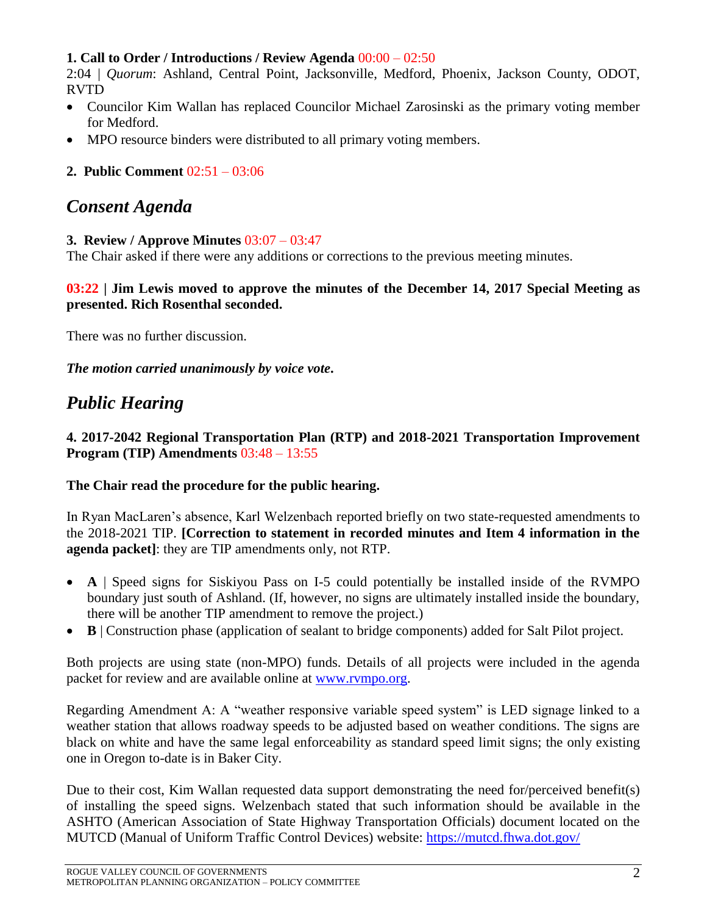#### **1. Call to Order / Introductions / Review Agenda** 00:00 – 02:50

2:04 | *Quorum*: Ashland, Central Point, Jacksonville, Medford, Phoenix, Jackson County, ODOT, RVTD

- Councilor Kim Wallan has replaced Councilor Michael Zarosinski as the primary voting member for Medford.
- MPO resource binders were distributed to all primary voting members.

# **2. Public Comment** 02:51 – 03:06

# *Consent Agenda*

#### **3. Review / Approve Minutes** 03:07 – 03:47

The Chair asked if there were any additions or corrections to the previous meeting minutes.

### **03:22 | Jim Lewis moved to approve the minutes of the December 14, 2017 Special Meeting as presented. Rich Rosenthal seconded.**

There was no further discussion.

*The motion carried unanimously by voice vote***.**

# *Public Hearing*

**4. 2017-2042 Regional Transportation Plan (RTP) and 2018-2021 Transportation Improvement Program (TIP) Amendments** 03:48 – 13:55

#### **The Chair read the procedure for the public hearing.**

In Ryan MacLaren's absence, Karl Welzenbach reported briefly on two state-requested amendments to the 2018-2021 TIP. **[Correction to statement in recorded minutes and Item 4 information in the agenda packet]**: they are TIP amendments only, not RTP.

- **A** | Speed signs for Siskiyou Pass on I-5 could potentially be installed inside of the RVMPO boundary just south of Ashland. (If, however, no signs are ultimately installed inside the boundary, there will be another TIP amendment to remove the project.)
- **B** | Construction phase (application of sealant to bridge components) added for Salt Pilot project.

Both projects are using state (non-MPO) funds. Details of all projects were included in the agenda packet for review and are available online at [www.rvmpo.org.](http://www.rvmpo.org/)

Regarding Amendment A: A "weather responsive variable speed system" is LED signage linked to a weather station that allows roadway speeds to be adjusted based on weather conditions. The signs are black on white and have the same legal enforceability as standard speed limit signs; the only existing one in Oregon to-date is in Baker City.

Due to their cost, Kim Wallan requested data support demonstrating the need for/perceived benefit(s) of installing the speed signs. Welzenbach stated that such information should be available in the ASHTO (American Association of State Highway Transportation Officials) document located on the MUTCD (Manual of Uniform Traffic Control Devices) website:<https://mutcd.fhwa.dot.gov/>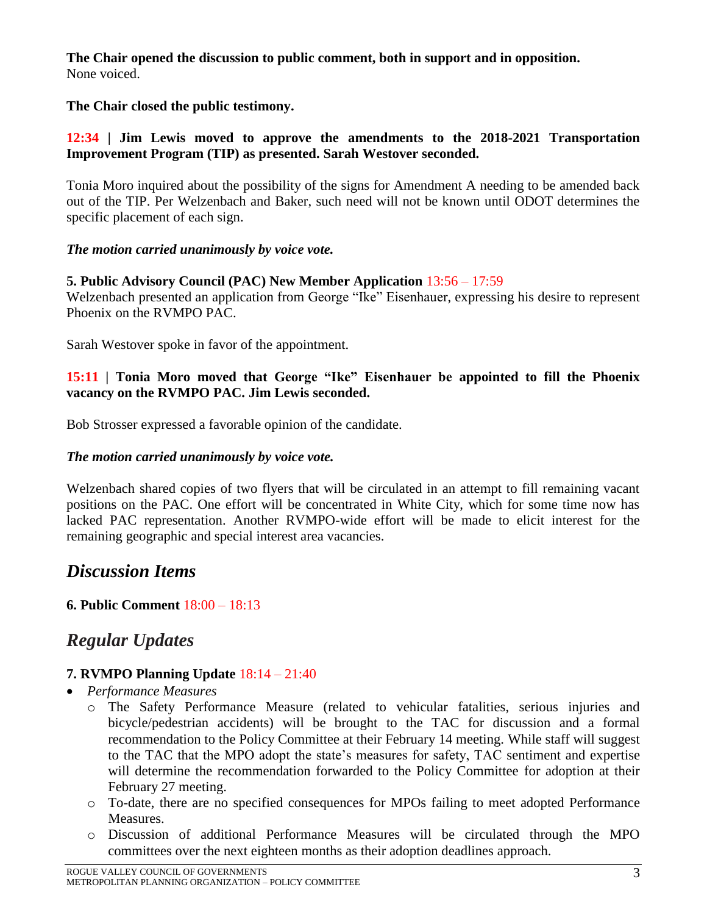**The Chair opened the discussion to public comment, both in support and in opposition.** None voiced.

## **The Chair closed the public testimony.**

## **12:34 | Jim Lewis moved to approve the amendments to the 2018-2021 Transportation Improvement Program (TIP) as presented. Sarah Westover seconded.**

Tonia Moro inquired about the possibility of the signs for Amendment A needing to be amended back out of the TIP. Per Welzenbach and Baker, such need will not be known until ODOT determines the specific placement of each sign.

## *The motion carried unanimously by voice vote.*

## **5. Public Advisory Council (PAC) New Member Application** 13:56 – 17:59

Welzenbach presented an application from George "Ike" Eisenhauer, expressing his desire to represent Phoenix on the RVMPO PAC.

Sarah Westover spoke in favor of the appointment.

## **15:11 | Tonia Moro moved that George "Ike" Eisenhauer be appointed to fill the Phoenix vacancy on the RVMPO PAC. Jim Lewis seconded.**

Bob Strosser expressed a favorable opinion of the candidate.

#### *The motion carried unanimously by voice vote.*

Welzenbach shared copies of two flyers that will be circulated in an attempt to fill remaining vacant positions on the PAC. One effort will be concentrated in White City, which for some time now has lacked PAC representation. Another RVMPO-wide effort will be made to elicit interest for the remaining geographic and special interest area vacancies.

# *Discussion Items*

# **6. Public Comment** 18:00 – 18:13

# *Regular Updates*

# **7. RVMPO Planning Update** 18:14 – 21:40

- *Performance Measures*
	- o The Safety Performance Measure (related to vehicular fatalities, serious injuries and bicycle/pedestrian accidents) will be brought to the TAC for discussion and a formal recommendation to the Policy Committee at their February 14 meeting. While staff will suggest to the TAC that the MPO adopt the state's measures for safety, TAC sentiment and expertise will determine the recommendation forwarded to the Policy Committee for adoption at their February 27 meeting.
	- o To-date, there are no specified consequences for MPOs failing to meet adopted Performance Measures.
	- o Discussion of additional Performance Measures will be circulated through the MPO committees over the next eighteen months as their adoption deadlines approach.